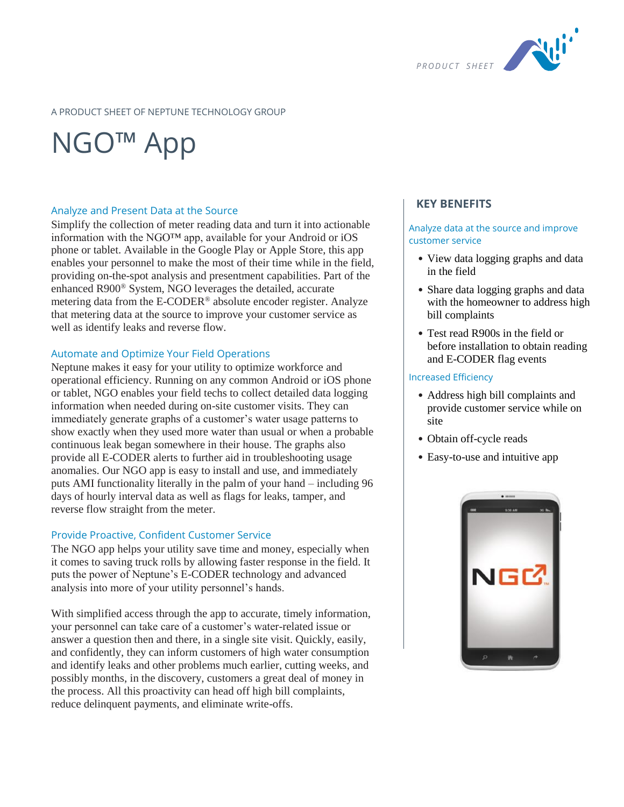

### A PRODUCT SHEET OF NEPTUNE TECHNOLOGY GROUP

# NGO<sup>™</sup> App

### Analyze and Present Data at the Source

Simplify the collection of meter reading data and turn it into actionable information with the NGO™ app, available for your Android or iOS phone or tablet. Available in the Google Play or Apple Store, this app enables your personnel to make the most of their time while in the field, providing on-the-spot analysis and presentment capabilities. Part of the enhanced R900® System, NGO leverages the detailed, accurate metering data from the E-CODER® absolute encoder register. Analyze that metering data at the source to improve your customer service as well as identify leaks and reverse flow.

### Automate and Optimize Your Field Operations

Neptune makes it easy for your utility to optimize workforce and operational efficiency. Running on any common Android or iOS phone or tablet, NGO enables your field techs to collect detailed data logging information when needed during on-site customer visits. They can immediately generate graphs of a customer's water usage patterns to show exactly when they used more water than usual or when a probable continuous leak began somewhere in their house. The graphs also provide all E-CODER alerts to further aid in troubleshooting usage anomalies. Our NGO app is easy to install and use, and immediately puts AMI functionality literally in the palm of your hand – including 96 days of hourly interval data as well as flags for leaks, tamper, and reverse flow straight from the meter.

### Provide Proactive, Confident Customer Service

The NGO app helps your utility save time and money, especially when it comes to saving truck rolls by allowing faster response in the field. It puts the power of Neptune's E-CODER technology and advanced analysis into more of your utility personnel's hands.

With simplified access through the app to accurate, timely information, your personnel can take care of a customer's water-related issue or answer a question then and there, in a single site visit. Quickly, easily, and confidently, they can inform customers of high water consumption and identify leaks and other problems much earlier, cutting weeks, and possibly months, in the discovery, customers a great deal of money in the process. All this proactivity can head off high bill complaints, reduce delinquent payments, and eliminate write-offs.

### **KEY BENEFITS**

#### Analyze data at the source and improve customer service

- View data logging graphs and data in the field
- Share data logging graphs and data with the homeowner to address high bill complaints
- Test read R900s in the field or before installation to obtain reading and E-CODER flag events

### Increased Efficiency

- Address high bill complaints and provide customer service while on site
- Obtain off-cycle reads
- Easy-to-use and intuitive app